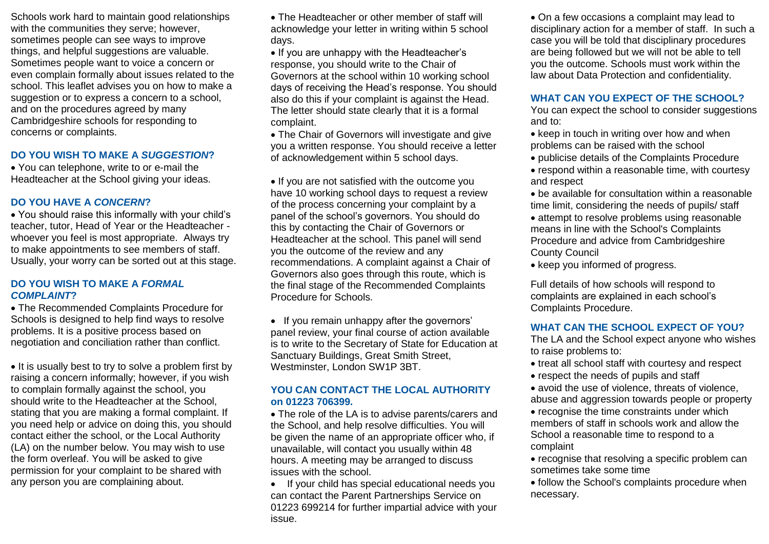Schools work hard to maintain good relationships with the communities they serve; however, sometimes people can see ways to improve things, and helpful suggestions are valuable. Sometimes people want to voice a concern or even complain formally about issues related to the school. This leaflet advises you on how to make a suggestion or to express a concern to a school, and on the procedures agreed by many Cambridgeshire schools for responding to concerns or complaints.

### **DO YOU WISH TO MAKE A** *SUGGESTION***?**

 You can telephone, write to or e-mail the Headteacher at the School giving your ideas.

### **DO YOU HAVE A** *CONCERN***?**

 You should raise this informally with your child's teacher, tutor, Head of Year or the Headteacher whoever you feel is most appropriate. Always try to make appointments to see members of staff. Usually, your worry can be sorted out at this stage.

#### **DO YOU WISH TO MAKE A** *FORMAL COMPLAINT***?**

 The Recommended Complaints Procedure for Schools is designed to help find ways to resolve problems. It is a positive process based on negotiation and conciliation rather than conflict.

• It is usually best to try to solve a problem first by raising a concern informally; however, if you wish to complain formally against the school, you should write to the Headteacher at the School, stating that you are making a formal complaint. If you need help or advice on doing this, you should contact either the school, or the Local Authority (LA) on the number below. You may wish to use the form overleaf. You will be asked to give permission for your complaint to be shared with any person you are complaining about.

 The Headteacher or other member of staff will acknowledge your letter in writing within 5 school days.

• If you are unhappy with the Headteacher's response, you should write to the Chair of Governors at the school within 10 working school days of receiving the Head's response. You should also do this if your complaint is against the Head. The letter should state clearly that it is a formal complaint.

 The Chair of Governors will investigate and give you a written response. You should receive a letter of acknowledgement within 5 school days.

• If you are not satisfied with the outcome you have 10 working school days to request a review of the process concerning your complaint by a panel of the school's governors. You should do this by contacting the Chair of Governors or Headteacher at the school. This panel will send you the outcome of the review and any recommendations. A complaint against a Chair of Governors also goes through this route, which is the final stage of the Recommended Complaints Procedure for Schools.

• If you remain unhappy after the governors' panel review, your final course of action available is to write to the Secretary of State for Education at Sanctuary Buildings, Great Smith Street, Westminster, London SW1P 3BT.

#### **YOU CAN CONTACT THE LOCAL AUTHORITY on 01223 706399.**

 The role of the LA is to advise parents/carers and the School, and help resolve difficulties. You will be given the name of an appropriate officer who, if unavailable, will contact you usually within 48 hours. A meeting may be arranged to discuss issues with the school.

• If your child has special educational needs you can contact the Parent Partnerships Service on 01223 699214 for further impartial advice with your issue.

 On a few occasions a complaint may lead to disciplinary action for a member of staff. In such a case you will be told that disciplinary procedures are being followed but we will not be able to tell you the outcome. Schools must work within the law about Data Protection and confidentiality.

#### **WHAT CAN YOU EXPECT OF THE SCHOOL?**

You can expect the school to consider suggestions and to:

- keep in touch in writing over how and when problems can be raised with the school
- publicise details of the Complaints Procedure
- respond within a reasonable time, with courtesy and respect
- be available for consultation within a reasonable time limit, considering the needs of pupils/ staff
- attempt to resolve problems using reasonable means in line with the School's Complaints Procedure and advice from Cambridgeshire County Council
- keep you informed of progress.

Full details of how schools will respond to complaints are explained in each school's Complaints Procedure.

## **WHAT CAN THE SCHOOL EXPECT OF YOU?**

The LA and the School expect anyone who wishes to raise problems to:

- treat all school staff with courtesy and respect
- respect the needs of pupils and staff

• avoid the use of violence, threats of violence, abuse and aggression towards people or property

- recognise the time constraints under which members of staff in schools work and allow the School a reasonable time to respond to a complaint
- recognise that resolving a specific problem can sometimes take some time
- follow the School's complaints procedure when necessary.